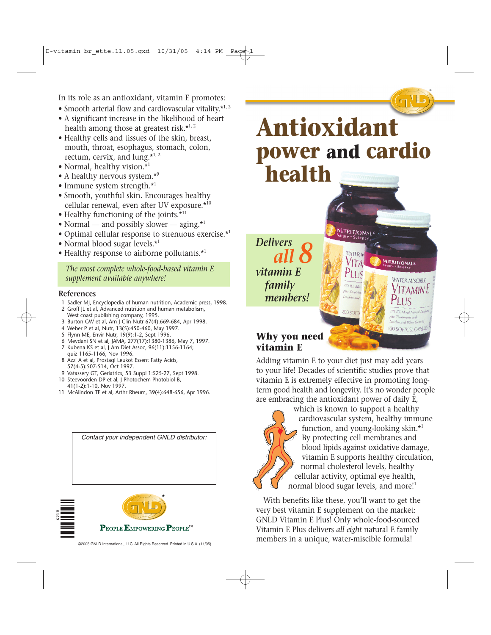In its role as an antioxidant, vitamin E promotes:

- Smooth arterial flow and cardiovascular vitality.\*1, 2
- A significant increase in the likelihood of heart health among those at greatest risk.<sup>\*1, 2</sup>
- Healthy cells and tissues of the skin, breast, mouth, throat, esophagus, stomach, colon, rectum, cervix, and lung. $*^{1,2}$
- Normal, healthy vision.\*1
- A healthy nervous system.\*9
- Immune system strength.\*1
- Smooth, youthful skin. Encourages healthy cellular renewal, even after UV exposure.\*10
- Healthy functioning of the joints.<sup>\*11</sup>
- Normal and possibly slower aging.\*1
- Optimal cellular response to strenuous exercise.\*1
- Normal blood sugar levels.\*<sup>1</sup>
- Healthy response to airborne pollutants.\*1

*The most complete whole-food-based vitamin E supplement available anywhere!*

#### **References**

- 1 Sadler MJ, Encyclopedia of human nutrition, Academic press, 1998.
- 2 Groff JL et al, Advanced nutrition and human metabolism, West coast publishing company, 1995.
- 3 Burton GW et al, Am J Clin Nutr 67(4):669-684, Apr 1998.
- 4 Weber P et al, Nutr, 13(5):450-460, May 1997.
- 5 Flynn ME, Envir Nutr, 19(9):1-2, Sept 1996.
- 6 Meydani SN et al, JAMA, 277(17):1380-1386, May 7, 1997.
- 7 Kubena KS et al, J Am Diet Assoc, 96(11):1156-1164; quiz 1165-1166, Nov 1996.
- 8 Azzi A et al, Prostagl Leukot Essent Fatty Acids, 57(4-5):507-514, Oct 1997.
- 9 Vatassery GT, Geriatrics, 53 Suppl 1:S25-27, Sept 1998.
- 10 Steevoorden DP et al, J Photochem Photobiol B, 41(1-2):1-10, Nov 1997.
- 11 McAlindon TE et al, Arthr Rheum, 39(4):648-656, Apr 1996.

*Contact your independent GNLD distributor:*





**NUTRITIONAL** cienc

**WATER M** 

*Delivers all 8 vitamin E family members!*

### $P_{LUS}$ **WATER MISCIBLE** 275 IU, Mis  $\Delta$ MIN 200 SOFT plus Tocotrienole with Lecithin and Wheat Germ C **100 SOFTGEL CAPSULE**

**NUTRITIONALS** 

®

### **Why you need vitamin E**

Adding vitamin E to your diet just may add years to your life! Decades of scientific studies prove that vitamin E is extremely effective in promoting longterm good health and longevity. It's no wonder people are embracing the antioxidant power of daily E,



which is known to support a healthy cardiovascular system, healthy immune function, and young-looking skin.\*1 By protecting cell membranes and blood lipids against oxidative damage, vitamin E supports healthy circulation, normal cholesterol levels, healthy cellular activity, optimal eye health, normal blood sugar levels, and more!<sup>1</sup>

With benefits like these, you'll want to get the very best vitamin E supplement on the market: GNLD Vitamin E Plus! Only whole-food-sourced Vitamin E Plus delivers *all eight* natural E family members in a unique, water-miscible formula!